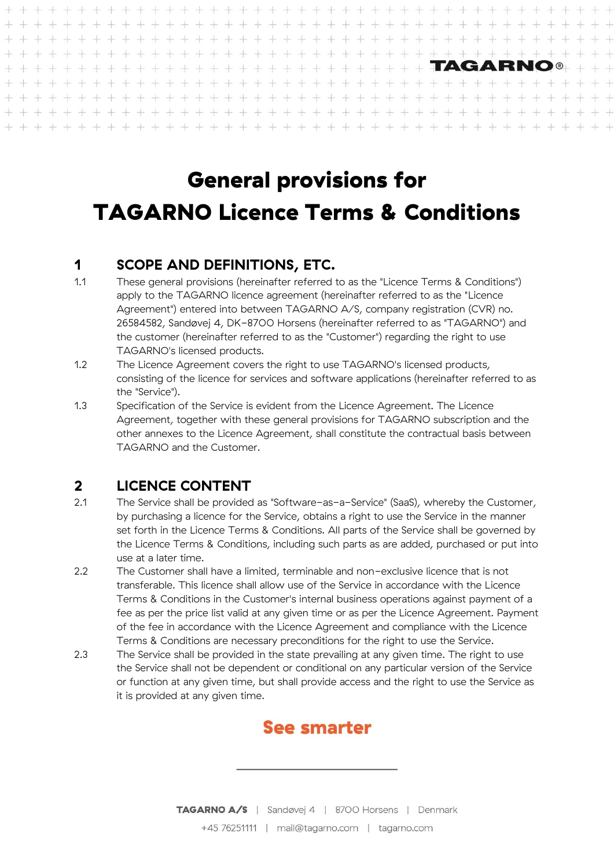#### $\perp$  $+ + +$  $\perp$  $\pm$  $\perp$  $\perp$  $\perp$ **TAGARNO®**  $\pm 1$  $\perp$  $\pm$  $\pm 1$  $\pm$  $\pm$  $\perp$  $\perp$  $\pm 1$  $-1$  $\rightarrow$  $\perp$  $\perp$  $\leq 1$  $\perp$  $\perp$  $\pm 1$  $\perp$  $\perp$  $+ +$   $+$  $\pm$  $\pm$  $\frac{1}{2} \frac{1}{2} \frac{1}{2} \frac{1}{2} \frac{1}{2} \frac{1}{2} \frac{1}{2} \frac{1}{2} \frac{1}{2} \frac{1}{2} \frac{1}{2} \frac{1}{2} \frac{1}{2} \frac{1}{2} \frac{1}{2} \frac{1}{2} \frac{1}{2} \frac{1}{2} \frac{1}{2} \frac{1}{2} \frac{1}{2} \frac{1}{2} \frac{1}{2} \frac{1}{2} \frac{1}{2} \frac{1}{2} \frac{1}{2} \frac{1}{2} \frac{1}{2} \frac{1}{2} \frac{1}{2} \frac{$  $\pm\pm$  $\pm 1$  $+ +$  $\perp$  $\perp$  $+$   $+$  $\perp$  $\perp$  $\pm 1$  $-1$  $\perp$  $\perp$  $\pm 1$  $-1$  $\pm 1$ -li  $\Delta \omega$  and  $\Delta \omega$  $-1$  $\perp$  $-1$   $-1$  $\sim 1$  $\perp$  $\perp$  $\pm$  $\pm$ alla ÷L. -ll- $\pm 1$

# General provisions for TAGARNO Licence Terms & Conditions

## **1 SCOPE AND DEFINITIONS, ETC.**

- <span id="page-0-0"></span>1.1 These general provisions (hereinafter referred to as the "Licence Terms & Conditions") apply to the TAGARNO licence agreement (hereinafter referred to as the "Licence Agreement") entered into between TAGARNO A/S, company registration (CVR) no. 26584582, Sandøvej 4, DK-8700 Horsens (hereinafter referred to as "TAGARNO") and the customer (hereinafter referred to as the "Customer") regarding the right to use TAGARNO's licensed products.
- 1.2 The Licence Agreement covers the right to use TAGARNO's licensed products, consisting of the licence for services and software applications (hereinafter referred to as the "Service").
- 1.3 Specification of the Service is evident from the Licence Agreement. The Licence Agreement, together with these general provisions for TAGARNO subscription and the other annexes to the Licence Agreement, shall constitute the contractual basis between TAGARNO and the Customer.

## **2 LICENCE CONTENT**

- 2.1 The Service shall be provided as "Software-as-a-Service" (SaaS), whereby the Customer, by purchasing a licence for the Service, obtains a right to use the Service in the manner set forth in the Licence Terms & Conditions. All parts of the Service shall be governed by the Licence Terms & Conditions, including such parts as are added, purchased or put into use at a later time.
- 2.2 The Customer shall have a limited, terminable and non-exclusive licence that is not transferable. This licence shall allow use of the Service in accordance with the Licence Terms & Conditions in the Customer's internal business operations against payment of a fee as per the price list valid at any given time or as per the Licence Agreement. Payment of the fee in accordance with the Licence Agreement and compliance with the Licence Terms & Conditions are necessary preconditions for the right to use the Service.
- 2.3 The Service shall be provided in the state prevailing at any given time. The right to use the Service shall not be dependent or conditional on any particular version of the Service or function at any given time, but shall provide access and the right to use the Service as it is provided at any given time.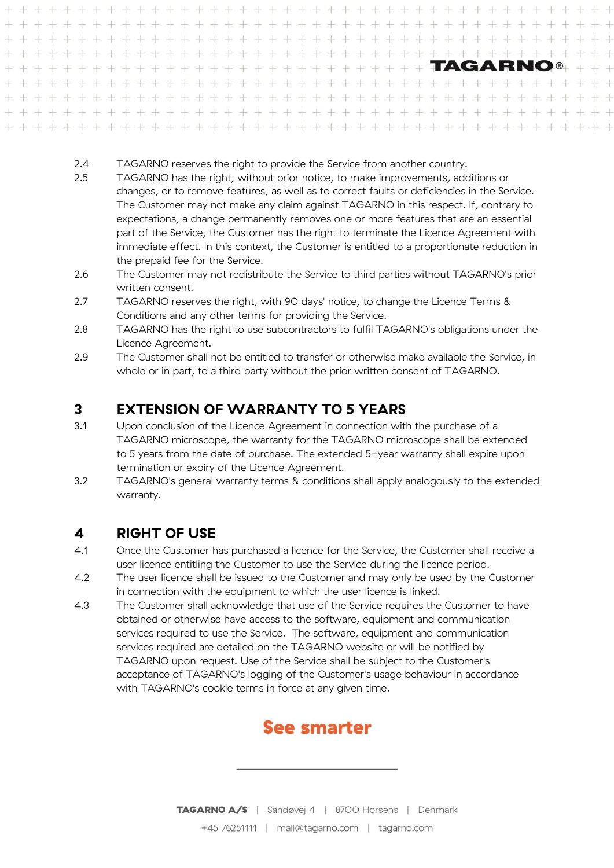- 2.4 TAGARNO reserves the right to provide the Service from another country.
- 2.5 TAGARNO has the right, without prior notice, to make improvements, additions or changes, or to remove features, as well as to correct faults or deficiencies in the Service. The Customer may not make any claim against TAGARNO in this respect. If, contrary to expectations, a change permanently removes one or more features that are an essential part of the Service, the Customer has the right to terminate the Licence Agreement with immediate effect. In this context, the Customer is entitled to a proportionate reduction in the prepaid fee for the Service.
- 2.6 The Customer may not redistribute the Service to third parties without TAGARNO's prior written consent.
- 2.7 TAGARNO reserves the right, with 90 days' notice, to change the Licence Terms & Conditions and any other terms for providing the Service.
- 2.8 TAGARNO has the right to use subcontractors to fulfil TAGARNO's obligations under the Licence Agreement.
- 2.9 The Customer shall not be entitled to transfer or otherwise make available the Service, in whole or in part, to a third party without the prior written consent of TAGARNO.

## **3 EXTENSION OF WARRANTY TO 5 YEARS**

- 3.1 Upon conclusion of the Licence Agreement in connection with the purchase of a TAGARNO microscope, the warranty for the TAGARNO microscope shall be extended to 5 years from the date of purchase. The extended 5-year warranty shall expire upon termination or expiry of the Licence Agreement.
- 3.2 TAGARNO's general warranty terms & conditions shall apply analogously to the extended warranty.

## **4 RIGHT OF USE**

- 4.1 Once the Customer has purchased a licence for the Service, the Customer shall receive a user licence entitling the Customer to use the Service during the licence period.
- 4.2 The user licence shall be issued to the Customer and may only be used by the Customer in connection with the equipment to which the user licence is linked.
- 4.3 The Customer shall acknowledge that use of the Service requires the Customer to have obtained or otherwise have access to the software, equipment and communication services required to use the Service. The software, equipment and communication services required are detailed on the TAGARNO website or will be notified by TAGARNO upon request. Use of the Service shall be subject to the Customer's acceptance of TAGARNO's logging of the Customer's usage behaviour in accordance with TAGARNO's cookie terms in force at any given time.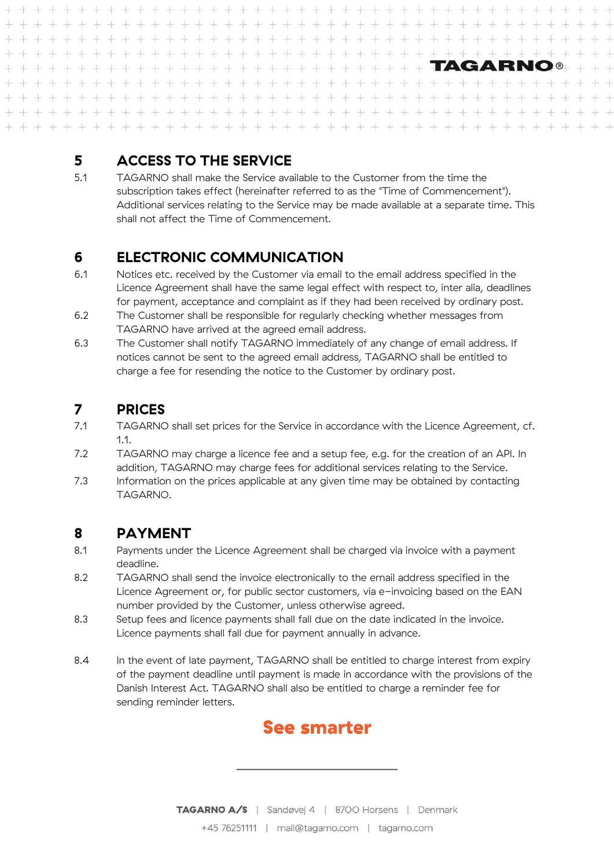#### $\perp$  $+$   $+$  $\frac{1}{2}$  $\perp$  $\perp$ ÷.  $\perp$  $\perp$  $+ + + +$  $\perp$  $+ + + + + + + +$  $+ + + + + + + + +$  $\perp$  $+ + +$  $\perp$  $+ +$  $\perp$  $\perp$  $\perp$  $\perp$  $\perp$  $\dot{+}$  $\perp$  $\perp$  $\perp$  $\perp$  $+$  $\overline{+}$  $\perp$  $+$ TAGARNO®  $\perp$  $\pm$ 4  $\perp$  $-1$  $\pm 1$  $\pm 1$  $\pm$ 土 土  $+$   $+$  $\pm$  $\perp$  $\pm 1$  $\perp$  $\perp$  $\perp$  $\perp$  $\perp$  $\perp$  $\perp$  $\pm$ 津 斗  $\frac{1}{2}$  $\frac{1}{2}$ 中  $\perp$  $\perp$  $\perp$  $\perp$  $+$   $+$  $\pm 1$  $\perp$  $\perp$  $\pm$  $\perp$  $\pm$ ட்ட  $\pm 1$  $+ +$  $\perp$  $\pm 1$  $+ + +$  $+ + + + + + + + + + +$  $\perp$  $-1$  $\pm 1.5$  $\pm 1$ .  $-1$  $-1$  $\pm 1$ **All**  $\pm$ ப -l. க ட் -la -L ale:  $\pm 1$  $-1$

## **5 ACCESS TO THE SERVICE**

5.1 TAGARNO shall make the Service available to the Customer from the time the subscription takes effect (hereinafter referred to as the "Time of Commencement"). Additional services relating to the Service may be made available at a separate time. This shall not affect the Time of Commencement.

## **6 ELECTRONIC COMMUNICATION**

- 6.1 Notices etc. received by the Customer via email to the email address specified in the Licence Agreement shall have the same legal effect with respect to, inter alia, deadlines for payment, acceptance and complaint as if they had been received by ordinary post.
- 6.2 The Customer shall be responsible for regularly checking whether messages from TAGARNO have arrived at the agreed email address.
- 6.3 The Customer shall notify TAGARNO immediately of any change of email address. If notices cannot be sent to the agreed email address, TAGARNO shall be entitled to charge a fee for resending the notice to the Customer by ordinary post.

## **7 PRICES**

- 7.1 TAGARNO shall set prices for the Service in accordance with the Licence Agreement, cf. [1.1.](#page-0-0)
- 7.2 TAGARNO may charge a licence fee and a setup fee, e.g. for the creation of an API. In addition, TAGARNO may charge fees for additional services relating to the Service.
- 7.3 Information on the prices applicable at any given time may be obtained by contacting TAGARNO.

## **8 PAYMENT**

- 8.1 Payments under the Licence Agreement shall be charged via invoice with a payment deadline.
- 8.2 TAGARNO shall send the invoice electronically to the email address specified in the Licence Agreement or, for public sector customers, via e-invoicing based on the EAN number provided by the Customer, unless otherwise agreed.
- 8.3 Setup fees and licence payments shall fall due on the date indicated in the invoice. Licence payments shall fall due for payment annually in advance.
- 8.4 In the event of late payment, TAGARNO shall be entitled to charge interest from expiry of the payment deadline until payment is made in accordance with the provisions of the Danish Interest Act. TAGARNO shall also be entitled to charge a reminder fee for sending reminder letters.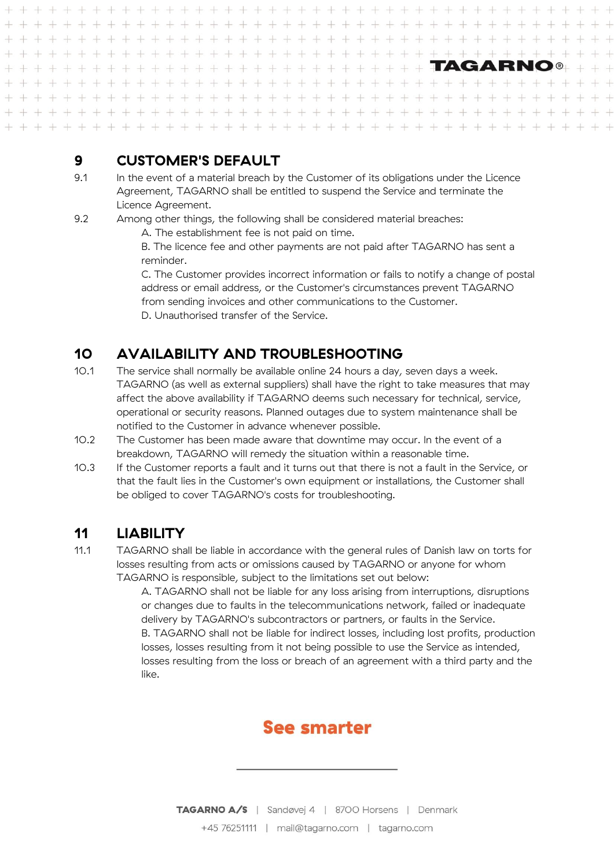$\perp$  $\perp$  $+ +$  $\frac{1}{2}$ ⊥  $\perp$  $\perp$  $\perp$ + + + + + + + + + + + + + + + + + +  $+ + + + + + + + +$  $\perp$  $+ +$  $\frac{1}{2}$  $\frac{1}{2}$  $\perp$  $\perp$  $\perp$  $\perp$  $\perp$  $\perp$  $\perp$  $\perp$  $\perp$  $\!+$  $\!+$  $\!+$  $\perp$ TAGARNO®  $\pm 1$  $\perp$  $\pm$  $\pm$  $\pm$ 4  $\pm$  $\pm 1$ 上上  $\pm$   $\pm$  $\pm$  $\pm$   $\pm$  $\perp$  $+$  $\perp$  $\pm$  $\perp$  $\perp$  $\pm 1$  $\perp$  $\perp$  $\perp$  $\perp$  $-1$  $\perp$  $\perp$  $\perp$  $\pm$ 津  $\rightarrow$  $\frac{1}{2}$ 中  $\perp$ ÷L. el.  $\perp$  $\perp$  $\pm$  $+$   $+$  $\frac{1}{2}$  $\perp$ 土  $+ +$  $\perp$  $\pm 1$ - E  $+ + + + + + + + + + + + + +$ alle alle  $\pm 1.5$  $-1$  $-1$  $\pm 1$  $\pm$  $-1$ -l. க  $\pm 1$ The Cole 

## **9 CUSTOMER'S DEFAULT**

- 9.1 In the event of a material breach by the Customer of its obligations under the Licence Agreement, TAGARNO shall be entitled to suspend the Service and terminate the Licence Agreement.
- 9.2 Among other things, the following shall be considered material breaches:
	- A. The establishment fee is not paid on time.
	- B. The licence fee and other payments are not paid after TAGARNO has sent a reminder.

C. The Customer provides incorrect information or fails to notify a change of postal address or email address, or the Customer's circumstances prevent TAGARNO from sending invoices and other communications to the Customer. D. Unauthorised transfer of the Service.

## **10 AVAILABILITY AND TROUBLESHOOTING**

- 10.1 The service shall normally be available online 24 hours a day, seven days a week. TAGARNO (as well as external suppliers) shall have the right to take measures that may affect the above availability if TAGARNO deems such necessary for technical, service, operational or security reasons. Planned outages due to system maintenance shall be notified to the Customer in advance whenever possible.
- 10.2 The Customer has been made aware that downtime may occur. In the event of a breakdown, TAGARNO will remedy the situation within a reasonable time.
- 10.3 If the Customer reports a fault and it turns out that there is not a fault in the Service, or that the fault lies in the Customer's own equipment or installations, the Customer shall be obliged to cover TAGARNO's costs for troubleshooting.

## **11 LIABILITY**

11.1 TAGARNO shall be liable in accordance with the general rules of Danish law on torts for losses resulting from acts or omissions caused by TAGARNO or anyone for whom TAGARNO is responsible, subject to the limitations set out below:

> A. TAGARNO shall not be liable for any loss arising from interruptions, disruptions or changes due to faults in the telecommunications network, failed or inadequate delivery by TAGARNO's subcontractors or partners, or faults in the Service. B. TAGARNO shall not be liable for indirect losses, including lost profits, production losses, losses resulting from it not being possible to use the Service as intended, losses resulting from the loss or breach of an agreement with a third party and the like.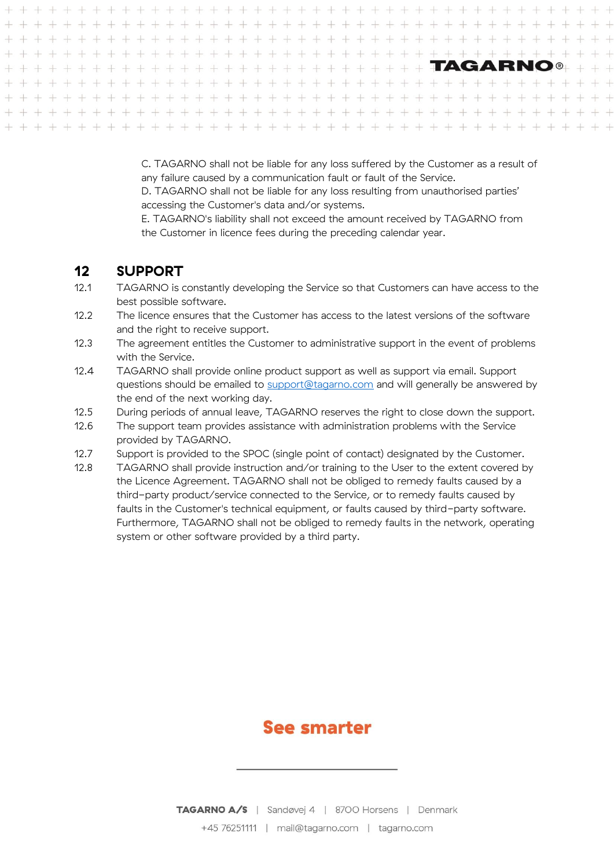C. TAGARNO shall not be liable for any loss suffered by the Customer as a result of any failure caused by a communication fault or fault of the Service.

D. TAGARNO shall not be liable for any loss resulting from unauthorised parties' accessing the Customer's data and/or systems.

E. TAGARNO's liability shall not exceed the amount received by TAGARNO from the Customer in licence fees during the preceding calendar year.

#### **12 SUPPORT**

- 12.1 TAGARNO is constantly developing the Service so that Customers can have access to the best possible software.
- 12.2 The licence ensures that the Customer has access to the latest versions of the software and the right to receive support.
- 12.3 The agreement entitles the Customer to administrative support in the event of problems with the Service.
- 12.4 TAGARNO shall provide online product support as well as support via email. Support questions should be emailed to [support@tagarno.com](mailto:support@tagarno.com) and will generally be answered by the end of the next working day.
- 12.5 During periods of annual leave, TAGARNO reserves the right to close down the support.
- 12.6 The support team provides assistance with administration problems with the Service provided by TAGARNO.
- 12.7 Support is provided to the SPOC (single point of contact) designated by the Customer.
- 12.8 TAGARNO shall provide instruction and/or training to the User to the extent covered by the Licence Agreement. TAGARNO shall not be obliged to remedy faults caused by a third-party product/service connected to the Service, or to remedy faults caused by faults in the Customer's technical equipment, or faults caused by third-party software. Furthermore, TAGARNO shall not be obliged to remedy faults in the network, operating system or other software provided by a third party.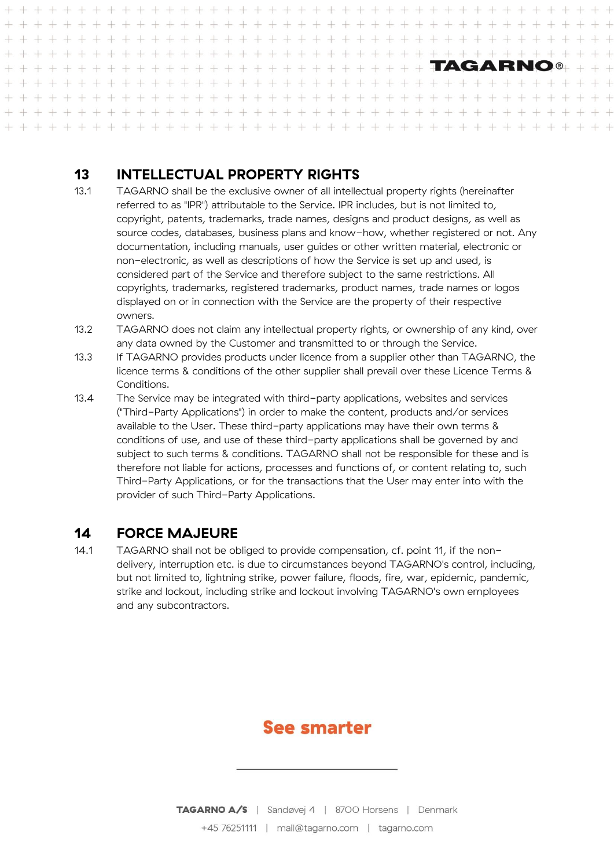$\perp$  $\perp$  $+$   $+$  $\perp$  $\perp$ + + + + + + + + + + + + + + + + + +  $+ + + + + + + + + +$  $\perp$  $\frac{1}{2}$  $\perp$  $\perp$  $\perp$  $\perp$  $\perp$  $\perp$  $+ +$  $\frac{1}{2}$  $\pm 1$  $\perp$  $\perp$  $\perp$  $\perp$  $\perp$  $\perp$  $\perp$  $\perp$  $+$  $\ddot{+}$  $\!+$ TAGARNO®  $+ + + + + + +$  $-1$   $-1$  $\pm$  $\perp$  $\perp$  $\pm$  $\pm 1$  $\pm$ 斗  $\perp$  $\perp$  $\pm$   $\pm$  $\pm 1$  $\sim1$  $\perp$  $\perp$  $\pm$  $\pm 1$  $\rightarrow$  $\perp$ + + 中  $\perp$  $\perp$  $\perp$  $\perp$  $\perp$  $\approx$ di.  $\pm 1$  $\perp$ 业  $\sim1$ 津  $+$   $+$  $\perp$  $\pm$  $\perp$  $+ +$  $\pm$ 重量单  $\pm$  $\pm$  $\perp$  $\pm 1$ - The  $-\mathbb{E}$  $\pm 1$  ,  $\pm 1$  ,  $\pm 1$  . + + + + + + + + + + + + + +  $-1$  $-1$ start of the  $\pm 1$ -áL -1L -l  $-1$ -L  $\sim 1$  $-1$ alles and 

## **13 INTELLECTUAL PROPERTY RIGHTS**

- 13.1 TAGARNO shall be the exclusive owner of all intellectual property rights (hereinafter referred to as "IPR") attributable to the Service. IPR includes, but is not limited to, copyright, patents, trademarks, trade names, designs and product designs, as well as source codes, databases, business plans and know-how, whether registered or not. Any documentation, including manuals, user guides or other written material, electronic or non-electronic, as well as descriptions of how the Service is set up and used, is considered part of the Service and therefore subject to the same restrictions. All copyrights, trademarks, registered trademarks, product names, trade names or logos displayed on or in connection with the Service are the property of their respective owners.
- 13.2 TAGARNO does not claim any intellectual property rights, or ownership of any kind, over any data owned by the Customer and transmitted to or through the Service.
- 13.3 If TAGARNO provides products under licence from a supplier other than TAGARNO, the licence terms & conditions of the other supplier shall prevail over these Licence Terms & Conditions.
- 13.4 The Service may be integrated with third-party applications, websites and services ("Third-Party Applications") in order to make the content, products and/or services available to the User. These third-party applications may have their own terms & conditions of use, and use of these third-party applications shall be governed by and subject to such terms & conditions. TAGARNO shall not be responsible for these and is therefore not liable for actions, processes and functions of, or content relating to, such Third-Party Applications, or for the transactions that the User may enter into with the provider of such Third-Party Applications.

## **14 FORCE MAJEURE**

14.1 TAGARNO shall not be obliged to provide compensation, cf. point 11, if the nondelivery, interruption etc. is due to circumstances beyond TAGARNO's control, including, but not limited to, lightning strike, power failure, floods, fire, war, epidemic, pandemic, strike and lockout, including strike and lockout involving TAGARNO's own employees and any subcontractors.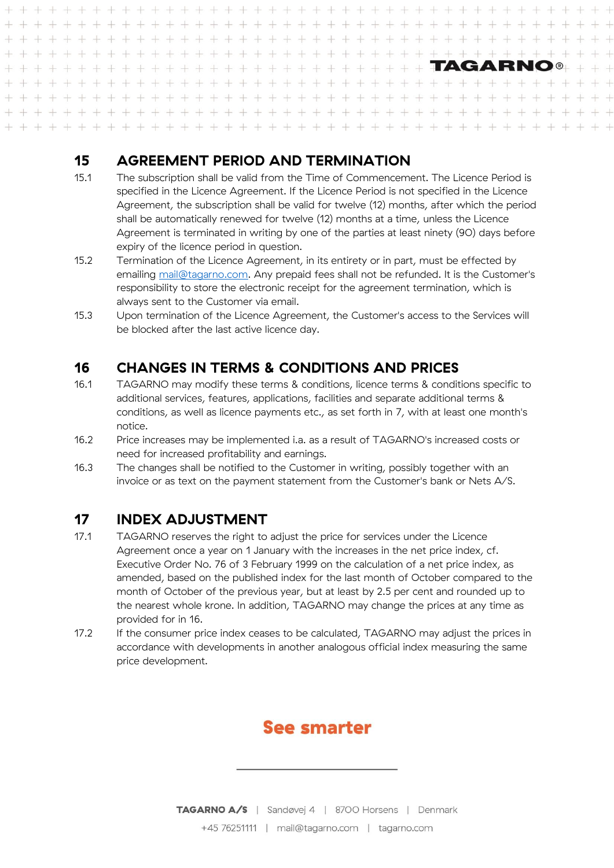#### $\perp$ 上 ÷. ⊥  $\frac{1}{2}$  $\pm$  $+ + +$  $\perp$  $+$  $\bot$  $+ + + + + +$  $\perp$  $+ + +$  $\perp$  $+ +$  $\perp$  $+$  $+$  $\perp$  $\frac{1}{2}$  $\perp$  $\frac{1}{2}$  $\perp$  $\perp$  $\perp$  $\perp$  $\perp$  $\perp$  $\perp$  $+$  $^{+}$  $\perp$  $\perp$ TAGARNO®  $\approx 1^{\circ}$  $\perp$ 4  $\pm 1$ 丰  $\pm 1$  $\pm$ 津 土  $\pm 1$  $\perp$  $\perp$  $\perp$  $\pm 1$  $\perp$  $\perp$  $\perp$  $\perp$  $\perp$  $\pm1$  $\perp$ 斗 ale  $\pm$  $\rightarrow$  $\perp$ 丰  $\perp$  $\perp$  $\perp$  $\pm$  $+ + + + + + + + + + + + +$  $+$   $+$  $\perp$  $\perp$  $\perp$  $+1$  $-1$  $\pm$  $\perp$  $\pm$  $\perp$  $\pm$  $\pm 1$  $+$  $\perp$  $-1$ 4  $+ + +$  $\frac{1}{2}$  $\perp$  $\frac{1}{2} \left( \begin{array}{ccc} 1 & 0 & 0 \\ 0 & 1 & 0 \\ 0 & 0 & 0 \end{array} \right) = \frac{1}{2} \left( \begin{array}{ccc} 1 & 0 & 0 \\ 0 & 1 & 0 \\ 0 & 0 & 0 \\ 0 & 0 & 0 \end{array} \right)$  $+ + + +$  $-1$  $\pm 1$  $\perp$ alla  $\pm 1$  $\pm$ -l ப  $-1$  $\pm 1$  $-1$

## **15 AGREEMENT PERIOD AND TERMINATION**

- 15.1 The subscription shall be valid from the Time of Commencement. The Licence Period is specified in the Licence Agreement. If the Licence Period is not specified in the Licence Agreement, the subscription shall be valid for twelve (12) months, after which the period shall be automatically renewed for twelve (12) months at a time, unless the Licence Agreement is terminated in writing by one of the parties at least ninety (90) days before expiry of the licence period in question.
- 15.2 Termination of the Licence Agreement, in its entirety or in part, must be effected by emailing mail@tagarno.com. Any prepaid fees shall not be refunded. It is the Customer's responsibility to store the electronic receipt for the agreement termination, which is always sent to the Customer via email.
- 15.3 Upon termination of the Licence Agreement, the Customer's access to the Services will be blocked after the last active licence day.

## **16 CHANGES IN TERMS & CONDITIONS AND PRICES**

- 16.1 TAGARNO may modify these terms & conditions, licence terms & conditions specific to additional services, features, applications, facilities and separate additional terms & conditions, as well as licence payments etc., as set forth in 7, with at least one month's notice.
- 16.2 Price increases may be implemented i.a. as a result of TAGARNO's increased costs or need for increased profitability and earnings.
- 16.3 The changes shall be notified to the Customer in writing, possibly together with an invoice or as text on the payment statement from the Customer's bank or Nets A/S.

## **17 INDEX ADJUSTMENT**

- 17.1 TAGARNO reserves the right to adjust the price for services under the Licence Agreement once a year on 1 January with the increases in the net price index, cf. Executive Order No. 76 of 3 February 1999 on the calculation of a net price index, as amended, based on the published index for the last month of October compared to the month of October of the previous year, but at least by 2.5 per cent and rounded up to the nearest whole krone. In addition, TAGARNO may change the prices at any time as provided for in 16.
- 17.2 If the consumer price index ceases to be calculated, TAGARNO may adjust the prices in accordance with developments in another analogous official index measuring the same price development.